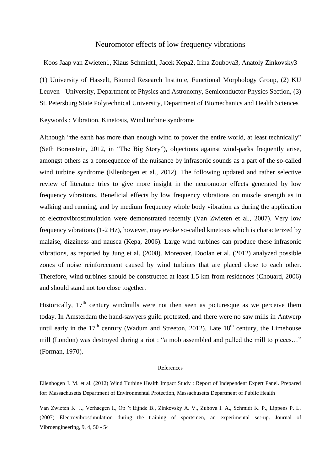## Neuromotor effects of low frequency vibrations

Koos Jaap van Zwieten1, Klaus Schmidt1, Jacek Kepa2, Irina Zoubova3, Anatoly Zinkovsky3

(1) University of Hasselt, Biomed Research Institute, Functional Morphology Group, (2) KU Leuven - University, Department of Physics and Astronomy, Semiconductor Physics Section, (3) St. Petersburg State Polytechnical University, Department of Biomechanics and Health Sciences

Keywords : Vibration, Kinetosis, Wind turbine syndrome

Although "the earth has more than enough wind to power the entire world, at least technically" (Seth Borenstein, 2012, in "The Big Story"), objections against wind-parks frequently arise, amongst others as a consequence of the nuisance by infrasonic sounds as a part of the so-called wind turbine syndrome (Ellenbogen et al., 2012). The following updated and rather selective review of literature tries to give more insight in the neuromotor effects generated by low frequency vibrations. Beneficial effects by low frequency vibrations on muscle strength as in walking and running, and by medium frequency whole body vibration as during the application of electrovibrostimulation were demonstrated recently (Van Zwieten et al., 2007). Very low frequency vibrations (1-2 Hz), however, may evoke so-called kinetosis which is characterized by malaise, dizziness and nausea (Kepa, 2006). Large wind turbines can produce these infrasonic vibrations, as reported by Jung et al. (2008). Moreover, Doolan et al. (2012) analyzed possible zones of noise reinforcement caused by wind turbines that are placed close to each other. Therefore, wind turbines should be constructed at least 1.5 km from residences (Chouard, 2006) and should stand not too close together.

Historically,  $17<sup>th</sup>$  century windmills were not then seen as picturesque as we perceive them today. In Amsterdam the hand-sawyers guild protested, and there were no saw mills in Antwerp until early in the  $17<sup>th</sup>$  century (Wadum and Streeton, 2012). Late  $18<sup>th</sup>$  century, the Limehouse mill (London) was destroyed during a riot : "a mob assembled and pulled the mill to pieces…" (Forman, 1970).

## References

Ellenbogen J. M. et al. (2012) Wind Turbine Health Impact Study : Report of Independent Expert Panel. Prepared for: Massachusetts Department of Environmental Protection, Massachusetts Department of Public Health

Van Zwieten K. J., Verhaegen I., Op 't Eijnde B., Zinkovsky A. V., Zubova I. A., Schmidt K. P., Lippens P. L. (2007) Electrovibrostimulation during the training of sportsmen, an experimental set-up. Journal of Vibroengineering, 9, 4, 50 - 54